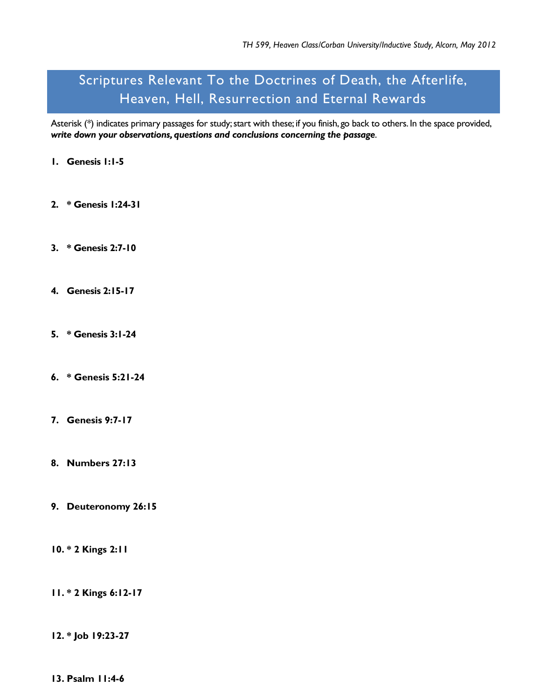## Scriptures Relevant To the Doctrines of Death, the Afterlife, Heaven, Hell, Resurrection and Eternal Rewards

Asterisk (\*) indicates primary passages for study; start with these; if you finish, go back to others. In the space provided, *write down your observations, questions and conclusions concerning the passage*.

- **1. Genesis 1:1-5**
- **2. \* Genesis 1:24-31**
- **3. \* Genesis 2:7-10**
- **4. Genesis 2:15-17**
- **5. \* Genesis 3:1-24**
- **6. \* Genesis 5:21-24**
- **7. Genesis 9:7-17**
- **8. Numbers 27:13**
- **9. Deuteronomy 26:15**
- **10. \* 2 Kings 2:11**
- **11. \* 2 Kings 6:12-17**
- **12. \* Job 19:23-27**
- **13. Psalm 11:4-6**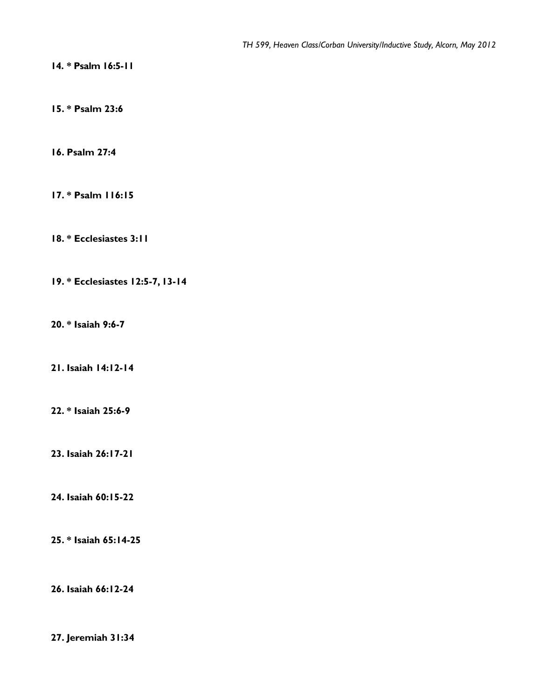**14. \* Psalm 16:5-11**

**15. \* Psalm 23:6**

**16. Psalm 27:4**

**17. \* Psalm 116:15**

**18. \* Ecclesiastes 3:11**

**19. \* Ecclesiastes 12:5-7, 13-14**

**20. \* Isaiah 9:6-7**

**21. Isaiah 14:12-14**

**22. \* Isaiah 25:6-9**

**23. Isaiah 26:17-21**

**24. Isaiah 60:15-22**

**25. \* Isaiah 65:14-25**

**26. Isaiah 66:12-24**

**27. Jeremiah 31:34**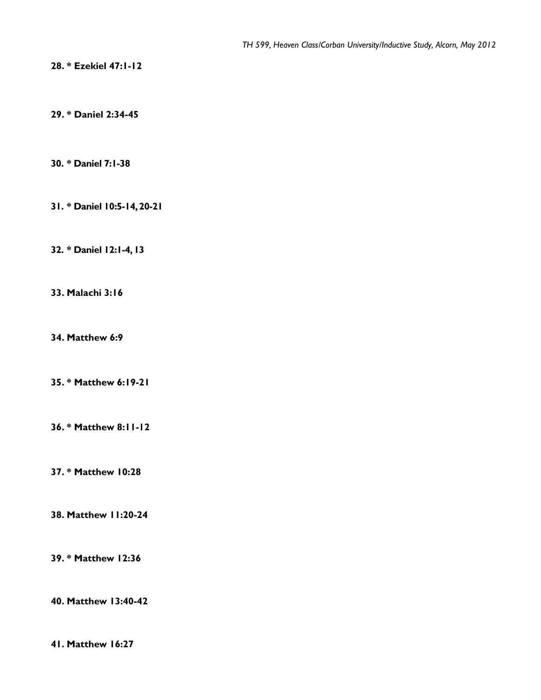**28. \* Ezekiel 47:1-12**

**29. \* Daniel 2:34-45**

**30. \* Daniel 7:1-38**

**31. \* Daniel 10:5-14, 20-21**

**32. \* Daniel 12:1-4, 13**

**33. Malachi 3:16**

**34. Matthew 6:9**

**35. \* Matthew 6:19-21**

**36. \* Matthew 8:11-12**

**37. \* Matthew 10:28**

**38. Matthew 11:20-24**

**39. \* Matthew 12:36**

**40. Matthew 13:40-42**

**41. Matthew 16:27**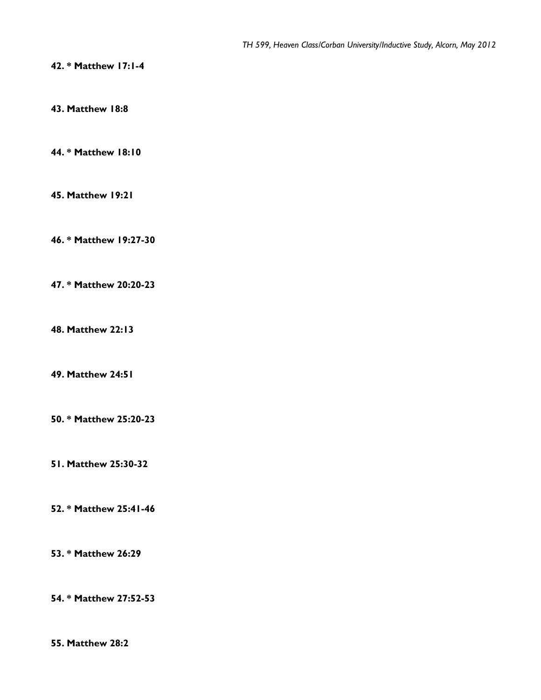**42. \* Matthew 17:1-4**

**43. Matthew 18:8**

**44. \* Matthew 18:10**

**45. Matthew 19:21**

**46. \* Matthew 19:27-30**

**47. \* Matthew 20:20-23**

**48. Matthew 22:13**

**49. Matthew 24:51**

**50. \* Matthew 25:20-23**

**51. Matthew 25:30-32**

**52. \* Matthew 25:41-46**

**53. \* Matthew 26:29**

**54. \* Matthew 27:52-53**

**55. Matthew 28:2**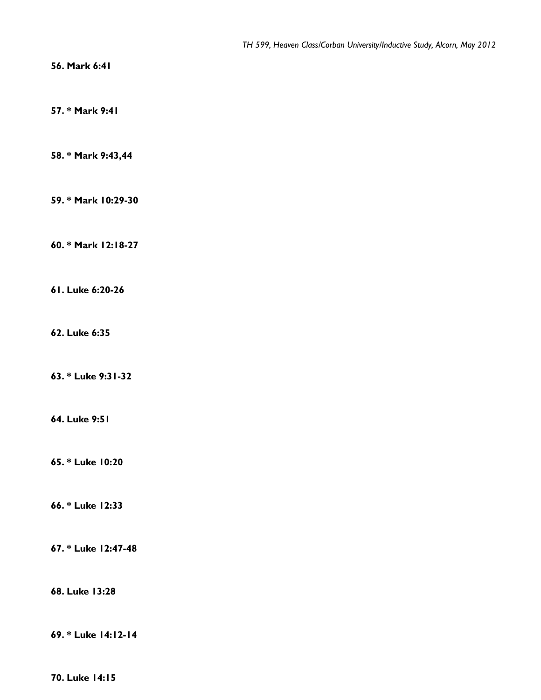**56. Mark 6:41**

**57. \* Mark 9:41**

**58. \* Mark 9:43,44**

**59. \* Mark 10:29-30**

**60. \* Mark 12:18-27**

**61. Luke 6:20-26**

**62. Luke 6:35**

**63. \* Luke 9:31-32**

**64. Luke 9:51**

**65. \* Luke 10:20**

**66. \* Luke 12:33**

**67. \* Luke 12:47-48**

**68. Luke 13:28**

**69. \* Luke 14:12-14**

**70. Luke 14:15**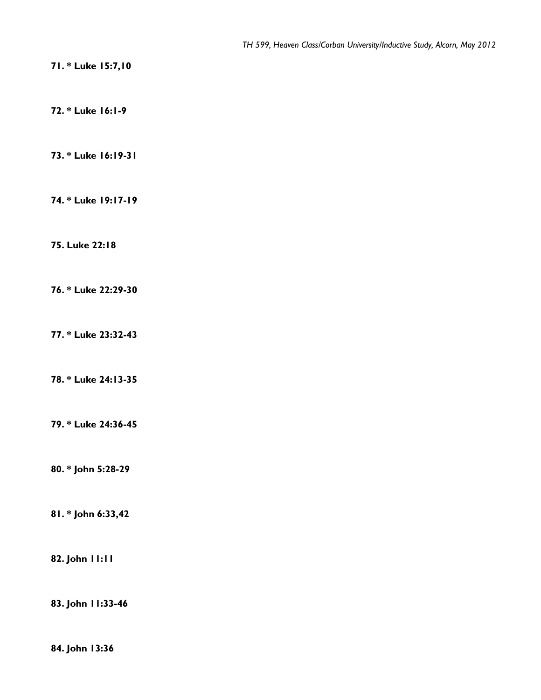**71. \* Luke 15:7,10**

**72. \* Luke 16:1-9**

**73. \* Luke 16:19-31**

**74. \* Luke 19:17-19**

**75. Luke 22:18**

**76. \* Luke 22:29-30**

**77. \* Luke 23:32-43**

**78. \* Luke 24:13-35** 

**79. \* Luke 24:36-45**

**80. \* John 5:28-29**

**81. \* John 6:33,42**

**82. John 11:11**

**83. John 11:33-46**

**84. John 13:36**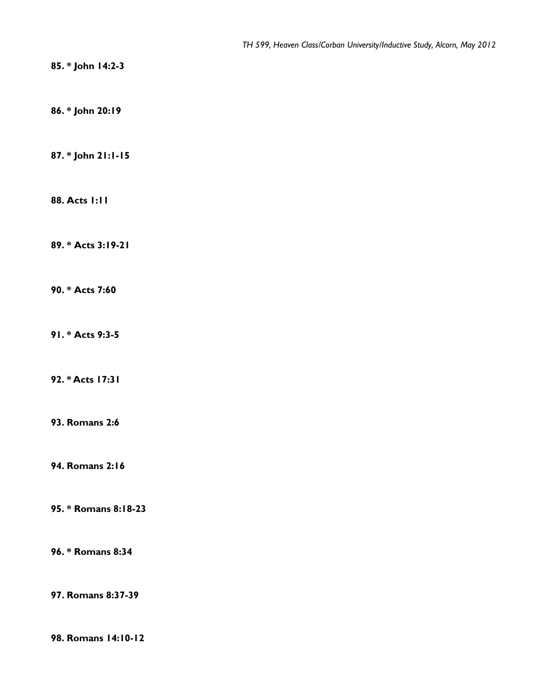**85. \* John 14:2-3**

**86. \* John 20:19**

**87. \* John 21:1-15**

**88. Acts 1:11**

**89. \* Acts 3:19-21**

**90. \* Acts 7:60**

**91. \* Acts 9:3-5**

**92. \* Acts 17:31**

**93. Romans 2:6**

**94. Romans 2:16**

**95. \* Romans 8:18-23**

**96. \* Romans 8:34**

**97. Romans 8:37-39**

**98. Romans 14:10-12**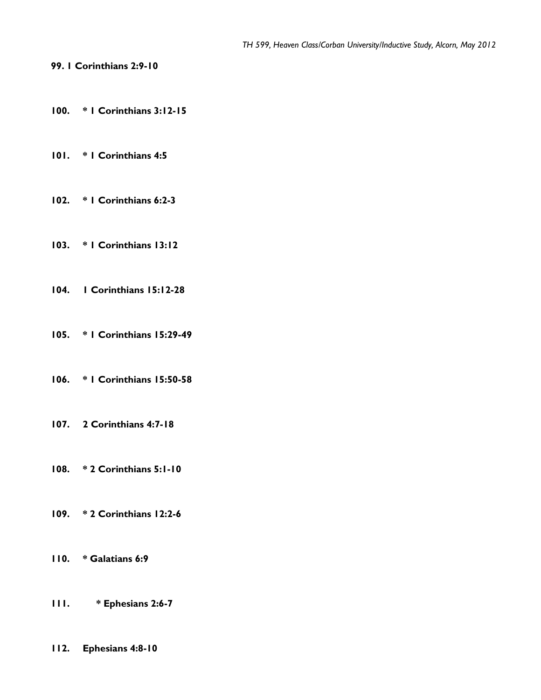**99. 1 Corinthians 2:9-10**

- **100. \* 1 Corinthians 3:12-15**
- **101. \* 1 Corinthians 4:5**
- **102. \* 1 Corinthians 6:2-3**
- **103. \* 1 Corinthians 13:12**
- **104. 1 Corinthians 15:12-28**
- **105. \* 1 Corinthians 15:29-49**
- **106. \* 1 Corinthians 15:50-58**
- **107. 2 Corinthians 4:7-18**
- **108. \* 2 Corinthians 5:1-10**
- **109. \* 2 Corinthians 12:2-6**
- **110. \* Galatians 6:9**
- **111. \* Ephesians 2:6-7**
- **112. Ephesians 4:8-10**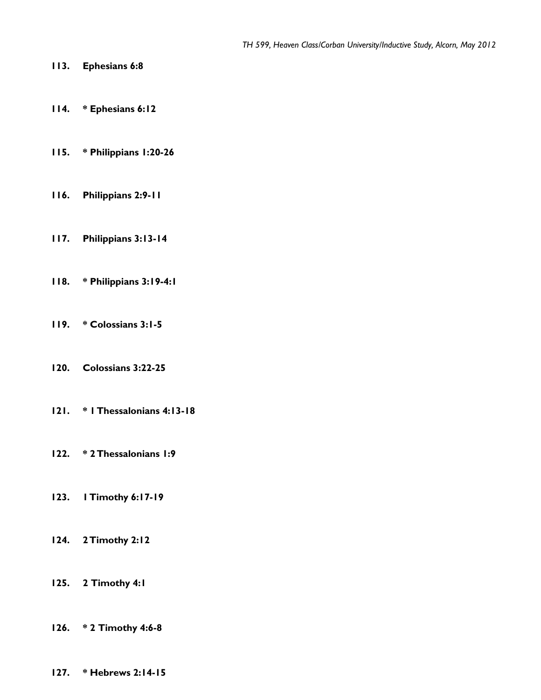- **113. Ephesians 6:8**
- **114. \* Ephesians 6:12**
- **115. \* Philippians 1:20-26**
- **116. Philippians 2:9-11**
- **117. Philippians 3:13-14**
- **118. \* Philippians 3:19-4:1**
- **119. \* Colossians 3:1-5**
- **120. Colossians 3:22-25**
- **121. \* 1 Thessalonians 4:13-18**
- **122. \* 2 Thessalonians 1:9**
- **123. 1 Timothy 6:17-19**
- **124. 2 Timothy 2:12**
- **125. 2 Timothy 4:1**
- **126. \* 2 Timothy 4:6-8**
- **127. \* Hebrews 2:14-15**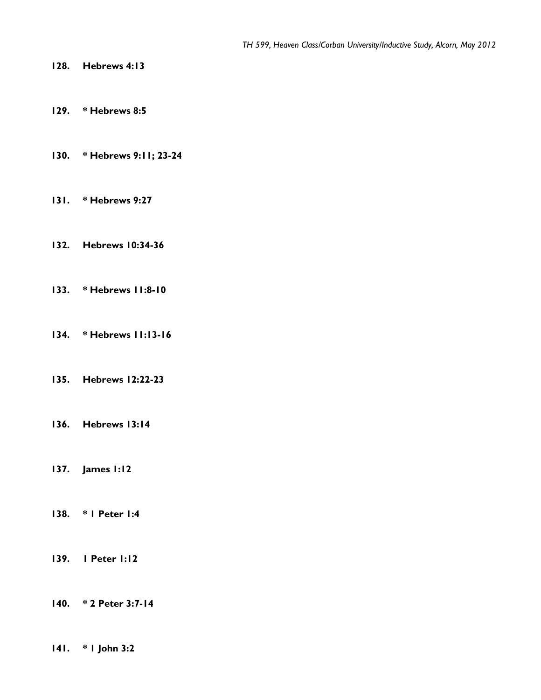- **128. Hebrews 4:13**
- **129. \* Hebrews 8:5**
- **130. \* Hebrews 9:11; 23-24**
- **131. \* Hebrews 9:27**
- **132. Hebrews 10:34-36**
- **133. \* Hebrews 11:8-10**
- **134. \* Hebrews 11:13-16**
- **135. Hebrews 12:22-23**
- **136. Hebrews 13:14**
- **137. James 1:12**
- **138. \* 1 Peter 1:4**
- **139. 1 Peter 1:12**
- **140. \* 2 Peter 3:7-14**
- **141. \* 1 John 3:2**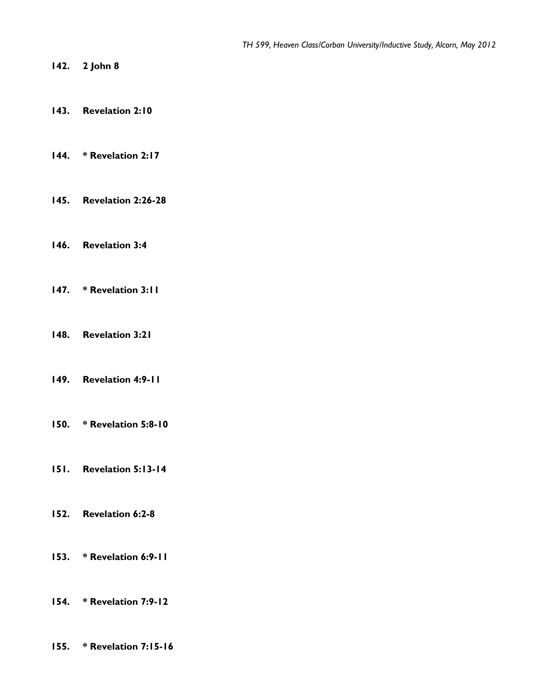- **142. 2 John 8**
- **143. Revelation 2:10**
- **144. \* Revelation 2:17**
- **145. Revelation 2:26-28**
- **146. Revelation 3:4**
- **147. \* Revelation 3:11**
- **148. Revelation 3:21**
- **149. Revelation 4:9-11**
- **150. \* Revelation 5:8-10**
- **151. Revelation 5:13-14**
- **152. Revelation 6:2-8**
- **153. \* Revelation 6:9-11**
- **154. \* Revelation 7:9-12**
- **155. \* Revelation 7:15-16**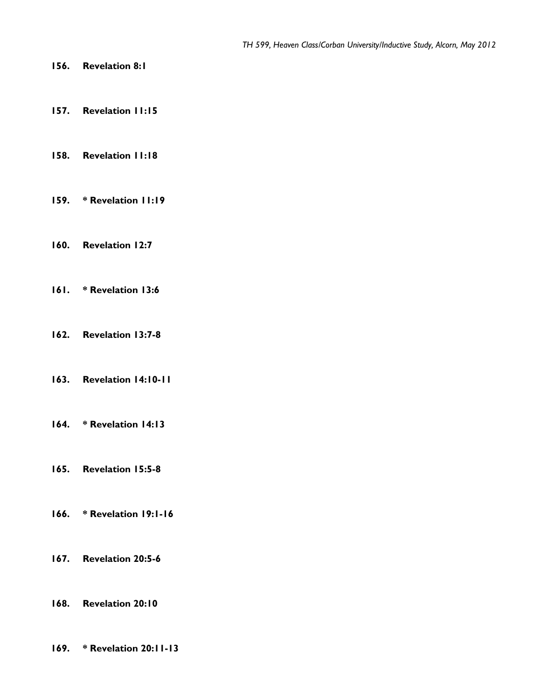- **156. Revelation 8:1**
- **157. Revelation 11:15**
- **158. Revelation 11:18**
- **159. \* Revelation 11:19**
- **160. Revelation 12:7**
- **161. \* Revelation 13:6**
- **162. Revelation 13:7-8**
- **163. Revelation 14:10-11**
- **164. \* Revelation 14:13**
- **165. Revelation 15:5-8**
- **166. \* Revelation 19:1-16**
- **167. Revelation 20:5-6**
- **168. Revelation 20:10**
- **169. \* Revelation 20:11-13**